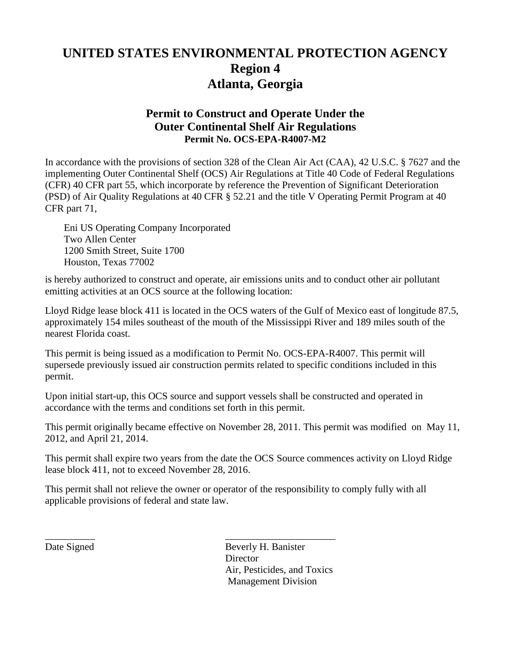# **UNITED STATES ENVIRONMENTAL PROTECTION AGENCY Region 4 Atlanta, Georgia**

# **Permit to Construct and Operate Under the Outer Continental Shelf Air Regulations Permit No. OCS-EPA-R4007-M2**

In accordance with the provisions of section 328 of the Clean Air Act (CAA), 42 U.S.C. § 7627 and the implementing Outer Continental Shelf (OCS) Air Regulations at Title 40 Code of Federal Regulations (CFR) 40 CFR part 55, which incorporate by reference the Prevention of Significant Deterioration (PSD) of Air Quality Regulations at 40 CFR § 52.21 and the title V Operating Permit Program at 40 CFR part 71,

Eni US Operating Company Incorporated Two Allen Center 1200 Smith Street, Suite 1700 Houston, Texas 77002

is hereby authorized to construct and operate, air emissions units and to conduct other air pollutant emitting activities at an OCS source at the following location:

Lloyd Ridge lease block 411 is located in the OCS waters of the Gulf of Mexico east of longitude 87.5, approximately 154 miles southeast of the mouth of the Mississippi River and 189 miles south of the nearest Florida coast.

This permit is being issued as a modification to Permit No. OCS-EPA-R4007. This permit will supersede previously issued air construction permits related to specific conditions included in this permit.

Upon initial start-up, this OCS source and support vessels shall be constructed and operated in accordance with the terms and conditions set forth in this permit.

This permit originally became effective on November 28, 2011. This permit was modified on May 11, 2012, and April 21, 2014.

This permit shall expire two years from the date the OCS Source commences activity on Lloyd Ridge lease block 411, not to exceed November 28, 2016.

This permit shall not relieve the owner or operator of the responsibility to comply fully with all applicable provisions of federal and state law.

\_\_\_\_\_\_\_\_\_\_ \_\_\_\_\_\_\_\_\_\_\_\_\_\_\_\_\_\_\_\_\_\_ Date Signed Beverly H. Banister **Director** Air, Pesticides, and Toxics Management Division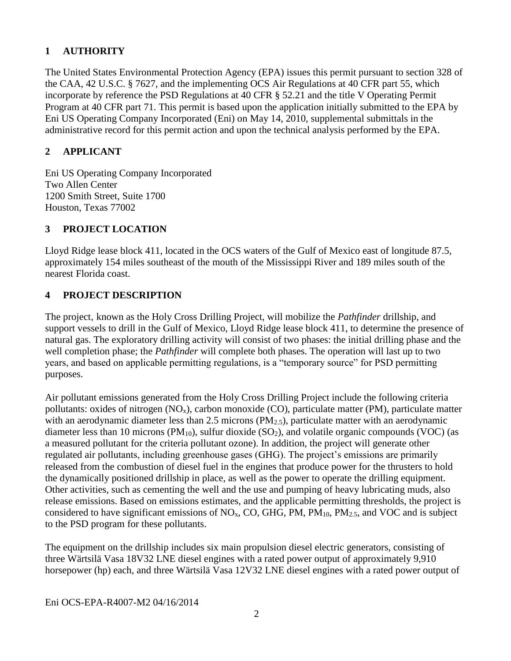### **1 AUTHORITY**

The United States Environmental Protection Agency (EPA) issues this permit pursuant to section 328 of the CAA, 42 U.S.C. § 7627, and the implementing OCS Air Regulations at 40 CFR part 55, which incorporate by reference the PSD Regulations at 40 CFR § 52.21 and the title V Operating Permit Program at 40 CFR part 71. This permit is based upon the application initially submitted to the EPA by Eni US Operating Company Incorporated (Eni) on May 14, 2010, supplemental submittals in the administrative record for this permit action and upon the technical analysis performed by the EPA.

### **2 APPLICANT**

Eni US Operating Company Incorporated Two Allen Center 1200 Smith Street, Suite 1700 Houston, Texas 77002

# **3 PROJECT LOCATION**

Lloyd Ridge lease block 411, located in the OCS waters of the Gulf of Mexico east of longitude 87.5, approximately 154 miles southeast of the mouth of the Mississippi River and 189 miles south of the nearest Florida coast.

### **4 PROJECT DESCRIPTION**

The project, known as the Holy Cross Drilling Project, will mobilize the *Pathfinder* drillship, and support vessels to drill in the Gulf of Mexico, Lloyd Ridge lease block 411, to determine the presence of natural gas. The exploratory drilling activity will consist of two phases: the initial drilling phase and the well completion phase; the *Pathfinder* will complete both phases. The operation will last up to two years, and based on applicable permitting regulations, is a "temporary source" for PSD permitting purposes.

Air pollutant emissions generated from the Holy Cross Drilling Project include the following criteria pollutants: oxides of nitrogen  $(NO_x)$ , carbon monoxide  $(CO)$ , particulate matter  $(PM)$ , particulate matter with an aerodynamic diameter less than 2.5 microns  $(PM_{2.5})$ , particulate matter with an aerodynamic diameter less than 10 microns ( $PM_{10}$ ), sulfur dioxide (SO<sub>2</sub>), and volatile organic compounds (VOC) (as a measured pollutant for the criteria pollutant ozone). In addition, the project will generate other regulated air pollutants, including greenhouse gases (GHG). The project's emissions are primarily released from the combustion of diesel fuel in the engines that produce power for the thrusters to hold the dynamically positioned drillship in place, as well as the power to operate the drilling equipment. Other activities, such as cementing the well and the use and pumping of heavy lubricating muds, also release emissions. Based on emissions estimates, and the applicable permitting thresholds, the project is considered to have significant emissions of  $NO<sub>x</sub>$ , CO, GHG, PM, PM<sub>10</sub>, PM<sub>2.5</sub>, and VOC and is subject to the PSD program for these pollutants.

The equipment on the drillship includes six main propulsion diesel electric generators, consisting of three Wärtsilä Vasa 18V32 LNE diesel engines with a rated power output of approximately 9,910 horsepower (hp) each, and three Wärtsilä Vasa 12V32 LNE diesel engines with a rated power output of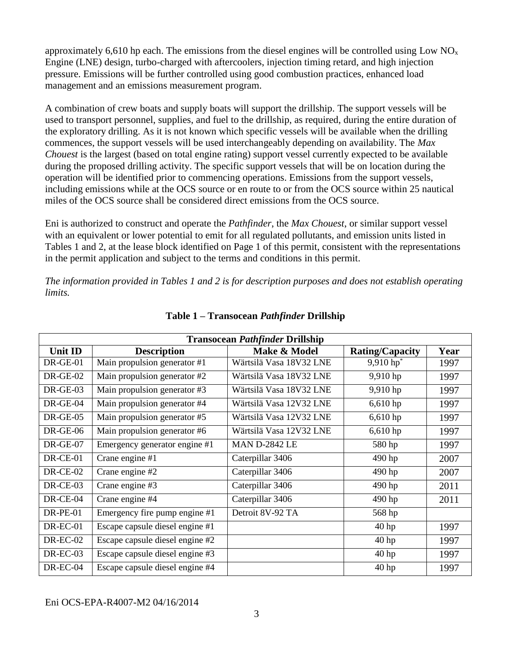approximately 6,610 hp each. The emissions from the diesel engines will be controlled using Low  $NO<sub>x</sub>$ Engine (LNE) design, turbo-charged with aftercoolers, injection timing retard, and high injection pressure. Emissions will be further controlled using good combustion practices, enhanced load management and an emissions measurement program.

A combination of crew boats and supply boats will support the drillship. The support vessels will be used to transport personnel, supplies, and fuel to the drillship, as required, during the entire duration of the exploratory drilling. As it is not known which specific vessels will be available when the drilling commences, the support vessels will be used interchangeably depending on availability. The *Max Chouest* is the largest (based on total engine rating) support vessel currently expected to be available during the proposed drilling activity. The specific support vessels that will be on location during the operation will be identified prior to commencing operations. Emissions from the support vessels, including emissions while at the OCS source or en route to or from the OCS source within 25 nautical miles of the OCS source shall be considered direct emissions from the OCS source.

Eni is authorized to construct and operate the *Pathfinder*, the *Max Chouest*, or similar support vessel with an equivalent or lower potential to emit for all regulated pollutants, and emission units listed in Tables 1 and 2, at the lease block identified on Page 1 of this permit, consistent with the representations in the permit application and subject to the terms and conditions in this permit.

*The information provided in Tables 1 and 2 is for description purposes and does not establish operating limits.*

| <b>Transocean Pathfinder Drillship</b> |                                 |                         |                         |      |  |  |  |
|----------------------------------------|---------------------------------|-------------------------|-------------------------|------|--|--|--|
| <b>Unit ID</b>                         | <b>Description</b>              | Make & Model            | <b>Rating/Capacity</b>  | Year |  |  |  |
| $DR-GE-01$                             | Main propulsion generator #1    | Wärtsilä Vasa 18V32 LNE | $9,910$ hp <sup>*</sup> | 1997 |  |  |  |
| $DR-GE-02$                             | Main propulsion generator #2    | Wärtsilä Vasa 18V32 LNE | 9,910 hp                | 1997 |  |  |  |
| $DR-GE-03$                             | Main propulsion generator #3    | Wärtsilä Vasa 18V32 LNE | 9,910 hp                | 1997 |  |  |  |
| $DR-GE-04$                             | Main propulsion generator #4    | Wärtsilä Vasa 12V32 LNE | $6,610$ hp              | 1997 |  |  |  |
| $DR-GE-05$                             | Main propulsion generator #5    | Wärtsilä Vasa 12V32 LNE | $6,610$ hp              | 1997 |  |  |  |
| $DR-GE-06$                             | Main propulsion generator #6    | Wärtsilä Vasa 12V32 LNE | $6,610$ hp              | 1997 |  |  |  |
| $DR-GE-07$                             | Emergency generator engine #1   | <b>MAN D-2842 LE</b>    | 580 hp                  | 1997 |  |  |  |
| DR-CE-01                               | Crane engine #1                 | Caterpillar 3406        | 490 hp                  | 2007 |  |  |  |
| <b>DR-CE-02</b>                        | Crane engine #2                 | Caterpillar 3406        | 490 hp                  | 2007 |  |  |  |
| DR-CE-03                               | Crane engine #3                 | Caterpillar 3406        | 490 hp                  | 2011 |  |  |  |
| $DR-CE-04$                             | Crane engine #4                 | Caterpillar 3406        | 490 hp                  | 2011 |  |  |  |
| $DR-PE-01$                             | Emergency fire pump engine #1   | Detroit 8V-92 TA        | 568 hp                  |      |  |  |  |
| $DR-EC-01$                             | Escape capsule diesel engine #1 |                         | 40 <sub>hp</sub>        | 1997 |  |  |  |
| <b>DR-EC-02</b>                        | Escape capsule diesel engine #2 |                         | $40$ hp                 | 1997 |  |  |  |
| $DR-EC-03$                             | Escape capsule diesel engine #3 |                         | $40$ hp                 | 1997 |  |  |  |
| DR-EC-04                               | Escape capsule diesel engine #4 |                         | 40 <sub>hp</sub>        | 1997 |  |  |  |

**Table 1 – Transocean** *Pathfinder* **Drillship**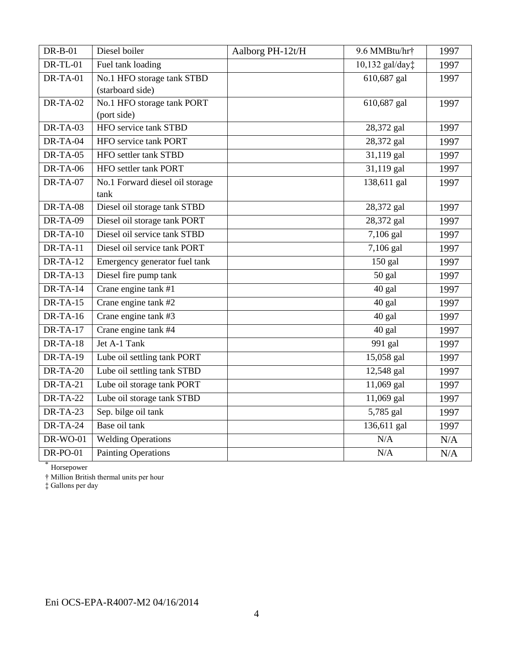| $DR-B-01$       | Diesel boiler                   | Aalborg PH-12t/H | 9.6 MMBtu/hr†            | 1997 |
|-----------------|---------------------------------|------------------|--------------------------|------|
| <b>DR-TL-01</b> | Fuel tank loading               |                  | 10,132 gal/day‡          | 1997 |
| $DR-TA-01$      | No.1 HFO storage tank STBD      |                  | 610,687 gal              | 1997 |
|                 | (starboard side)                |                  |                          |      |
| $DR-TA-02$      | No.1 HFO storage tank PORT      |                  | 610,687 gal              | 1997 |
|                 | (port side)                     |                  |                          |      |
| $DR-TA-03$      | <b>HFO</b> service tank STBD    |                  | 28,372 gal               | 1997 |
| DR-TA-04        | HFO service tank PORT           |                  | 28,372 gal               | 1997 |
| $DR-TA-05$      | HFO settler tank STBD           |                  | $\overline{31,119}$ gal  | 1997 |
| <b>DR-TA-06</b> | HFO settler tank PORT           |                  | 31,119 gal               | 1997 |
| $DR-TA-07$      | No.1 Forward diesel oil storage |                  | 138,611 gal              | 1997 |
|                 | tank                            |                  |                          |      |
| $DR-TA-08$      | Diesel oil storage tank STBD    |                  | 28,372 gal               | 1997 |
| DR-TA-09        | Diesel oil storage tank PORT    |                  | 28,372 gal               | 1997 |
| $DR-TA-10$      | Diesel oil service tank STBD    |                  | 7,106 gal                | 1997 |
| $DR-TA-11$      | Diesel oil service tank PORT    |                  | 7,106 gal                | 1997 |
| $DR-TA-12$      | Emergency generator fuel tank   |                  | $150$ gal                | 1997 |
| $DR-TA-13$      | Diesel fire pump tank           |                  | $50$ gal                 | 1997 |
| $DR-TA-14$      | Crane engine tank #1            |                  | 40 gal                   | 1997 |
| $DR-TA-15$      | Crane engine tank #2            |                  | 40 gal                   | 1997 |
| $DR-TA-16$      | Crane engine tank #3            |                  | 40 gal                   | 1997 |
| $DR-TA-17$      | Crane engine tank #4            |                  | 40 gal                   | 1997 |
| $DR-TA-18$      | Jet A-1 Tank                    |                  | 991 gal                  | 1997 |
| <b>DR-TA-19</b> | Lube oil settling tank PORT     |                  | 15,058 gal               | 1997 |
| $DR-TA-20$      | Lube oil settling tank STBD     |                  | 12,548 gal               | 1997 |
| $DR-TA-21$      | Lube oil storage tank PORT      |                  | 11,069 gal               | 1997 |
| $DR-TA-22$      | Lube oil storage tank STBD      |                  | $11,069$ gal             | 1997 |
| $DR-TA-23$      | Sep. bilge oil tank             |                  | 5,785 gal                | 1997 |
| <b>DR-TA-24</b> | Base oil tank                   |                  | $\overline{136,611}$ gal | 1997 |
| <b>DR-WO-01</b> | <b>Welding Operations</b>       |                  | N/A                      | N/A  |
| <b>DR-PO-01</b> | <b>Painting Operations</b>      |                  | N/A                      | N/A  |

\* Horsepower

† Million British thermal units per hour

‡ Gallons per day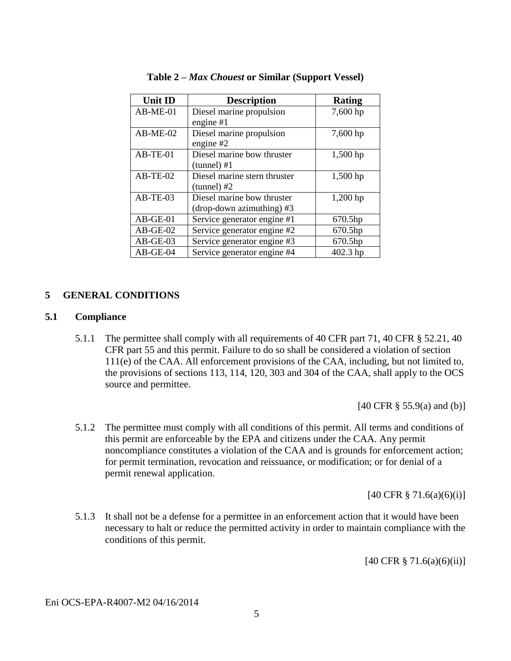| <b>Unit ID</b> | <b>Description</b>           | <b>Rating</b> |
|----------------|------------------------------|---------------|
| $AB-ME-01$     | Diesel marine propulsion     | 7,600 hp      |
|                | engine $#1$                  |               |
| $AB-ME-02$     | Diesel marine propulsion     | 7,600 hp      |
|                | engine $#2$                  |               |
| $AB-TE-01$     | Diesel marine bow thruster   | 1,500 hp      |
|                | $(tunnel) \#1$               |               |
| $AB-TE-02$     | Diesel marine stern thruster | $1,500$ hp    |
|                | $(tunnel)$ #2                |               |
| $AB-TE-03$     | Diesel marine bow thruster   | 1,200 hp      |
|                | (drop-down azimuthing) #3    |               |
| $AB-GE-01$     | Service generator engine #1  | 670.5hp       |
| $AB-GE-02$     | Service generator engine #2  | 670.5hp       |
| $AB-GE-03$     | Service generator engine #3  | 670.5hp       |
| $AB-GE-04$     | Service generator engine #4  | 402.3 hp      |

#### **Table 2 –** *Max Chouest* **or Similar (Support Vessel)**

#### **5 GENERAL CONDITIONS**

#### **5.1 Compliance**

5.1.1 The permittee shall comply with all requirements of 40 CFR part 71, 40 CFR § 52.21, 40 CFR part 55 and this permit. Failure to do so shall be considered a violation of section 111(e) of the CAA. All enforcement provisions of the CAA, including, but not limited to, the provisions of sections 113, 114, 120, 303 and 304 of the CAA, shall apply to the OCS source and permittee.

[40 CFR § 55.9(a) and (b)]

5.1.2 The permittee must comply with all conditions of this permit. All terms and conditions of this permit are enforceable by the EPA and citizens under the CAA. Any permit noncompliance constitutes a violation of the CAA and is grounds for enforcement action; for permit termination, revocation and reissuance, or modification; or for denial of a permit renewal application.

[40 CFR  $\S$  71.6(a)(6)(i)]

5.1.3 It shall not be a defense for a permittee in an enforcement action that it would have been necessary to halt or reduce the permitted activity in order to maintain compliance with the conditions of this permit.

[40 CFR § 71.6(a)(6)(ii)]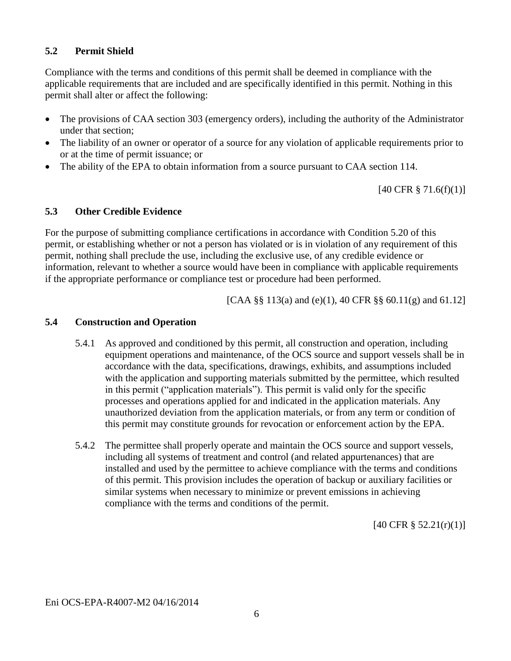### **5.2 Permit Shield**

Compliance with the terms and conditions of this permit shall be deemed in compliance with the applicable requirements that are included and are specifically identified in this permit. Nothing in this permit shall alter or affect the following:

- The provisions of CAA section 303 (emergency orders), including the authority of the Administrator under that section;
- The liability of an owner or operator of a source for any violation of applicable requirements prior to or at the time of permit issuance; or
- The ability of the EPA to obtain information from a source pursuant to CAA section 114.

[40 CFR § 71.6(f)(1)]

### **5.3 Other Credible Evidence**

For the purpose of submitting compliance certifications in accordance with Condition 5.20 of this permit, or establishing whether or not a person has violated or is in violation of any requirement of this permit, nothing shall preclude the use, including the exclusive use, of any credible evidence or information, relevant to whether a source would have been in compliance with applicable requirements if the appropriate performance or compliance test or procedure had been performed.

[CAA §§ 113(a) and (e)(1), 40 CFR §§ 60.11(g) and 61.12]

### **5.4 Construction and Operation**

- 5.4.1 As approved and conditioned by this permit, all construction and operation, including equipment operations and maintenance, of the OCS source and support vessels shall be in accordance with the data, specifications, drawings, exhibits, and assumptions included with the application and supporting materials submitted by the permittee, which resulted in this permit ("application materials"). This permit is valid only for the specific processes and operations applied for and indicated in the application materials. Any unauthorized deviation from the application materials, or from any term or condition of this permit may constitute grounds for revocation or enforcement action by the EPA.
- 5.4.2 The permittee shall properly operate and maintain the OCS source and support vessels, including all systems of treatment and control (and related appurtenances) that are installed and used by the permittee to achieve compliance with the terms and conditions of this permit. This provision includes the operation of backup or auxiliary facilities or similar systems when necessary to minimize or prevent emissions in achieving compliance with the terms and conditions of the permit.

[40 CFR § 52.21(r)(1)]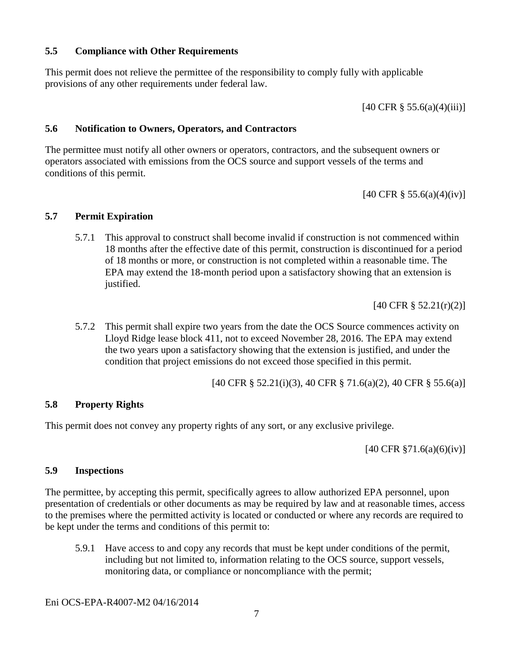### **5.5 Compliance with Other Requirements**

This permit does not relieve the permittee of the responsibility to comply fully with applicable provisions of any other requirements under federal law.

 $[40 \text{ CFR } \frac{8}{9} 55.6(a)(4)(iii)]$ 

### **5.6 Notification to Owners, Operators, and Contractors**

The permittee must notify all other owners or operators, contractors, and the subsequent owners or operators associated with emissions from the OCS source and support vessels of the terms and conditions of this permit.

[40 CFR § 55.6(a)(4)(iv)]

### **5.7 Permit Expiration**

5.7.1 This approval to construct shall become invalid if construction is not commenced within 18 months after the effective date of this permit, construction is discontinued for a period of 18 months or more, or construction is not completed within a reasonable time. The EPA may extend the 18-month period upon a satisfactory showing that an extension is justified.

[40 CFR § 52.21(r)(2)]

5.7.2 This permit shall expire two years from the date the OCS Source commences activity on Lloyd Ridge lease block 411, not to exceed November 28, 2016. The EPA may extend the two years upon a satisfactory showing that the extension is justified, and under the condition that project emissions do not exceed those specified in this permit.

[40 CFR § 52.21(i)(3), 40 CFR § 71.6(a)(2), 40 CFR § 55.6(a)]

### **5.8 Property Rights**

This permit does not convey any property rights of any sort, or any exclusive privilege.

[40 CFR §71.6(a)(6)(iv)]

#### **5.9 Inspections**

The permittee, by accepting this permit, specifically agrees to allow authorized EPA personnel, upon presentation of credentials or other documents as may be required by law and at reasonable times, access to the premises where the permitted activity is located or conducted or where any records are required to be kept under the terms and conditions of this permit to:

5.9.1 Have access to and copy any records that must be kept under conditions of the permit, including but not limited to, information relating to the OCS source, support vessels, monitoring data, or compliance or noncompliance with the permit;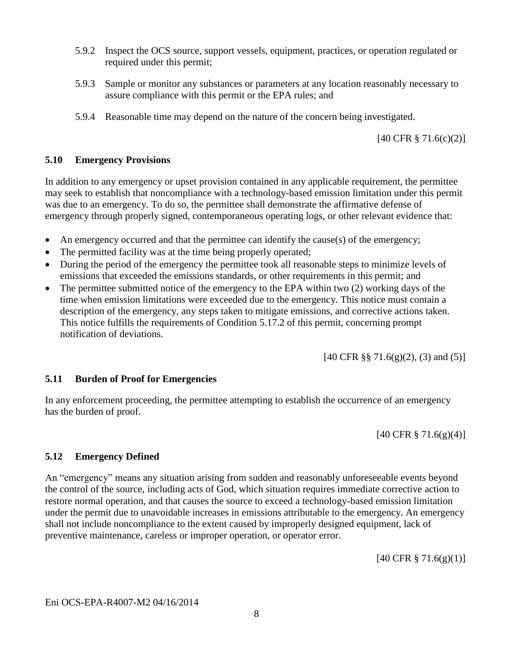- 5.9.2 Inspect the OCS source, support vessels, equipment, practices, or operation regulated or required under this permit;
- 5.9.3 Sample or monitor any substances or parameters at any location reasonably necessary to assure compliance with this permit or the EPA rules; and
- 5.9.4 Reasonable time may depend on the nature of the concern being investigated.

[40 CFR § 71.6(c)(2)]

### **5.10 Emergency Provisions**

In addition to any emergency or upset provision contained in any applicable requirement, the permittee may seek to establish that noncompliance with a technology-based emission limitation under this permit was due to an emergency. To do so, the permittee shall demonstrate the affirmative defense of emergency through properly signed, contemporaneous operating logs, or other relevant evidence that:

- An emergency occurred and that the permittee can identify the cause(s) of the emergency;
- The permitted facility was at the time being properly operated;
- During the period of the emergency the permittee took all reasonable steps to minimize levels of emissions that exceeded the emissions standards, or other requirements in this permit; and
- The permittee submitted notice of the emergency to the EPA within two (2) working days of the time when emission limitations were exceeded due to the emergency. This notice must contain a description of the emergency, any steps taken to mitigate emissions, and corrective actions taken. This notice fulfills the requirements of Condition 5.17.2 of this permit, concerning prompt notification of deviations.

[40 CFR §§ 71.6(g)(2), (3) and (5)]

### **5.11 Burden of Proof for Emergencies**

In any enforcement proceeding, the permittee attempting to establish the occurrence of an emergency has the burden of proof.

[40 CFR § 71.6(g)(4)]

### **5.12 Emergency Defined**

An "emergency" means any situation arising from sudden and reasonably unforeseeable events beyond the control of the source, including acts of God, which situation requires immediate corrective action to restore normal operation, and that causes the source to exceed a technology-based emission limitation under the permit due to unavoidable increases in emissions attributable to the emergency. An emergency shall not include noncompliance to the extent caused by improperly designed equipment, lack of preventive maintenance, careless or improper operation, or operator error.

[40 CFR § 71.6(g)(1)]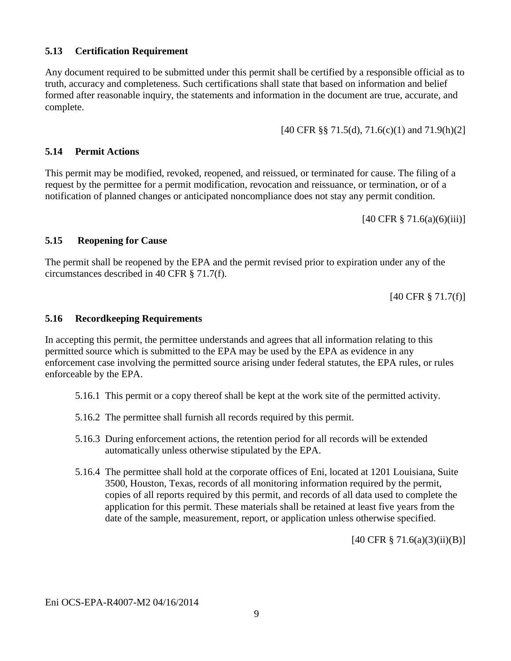#### **5.13 Certification Requirement**

Any document required to be submitted under this permit shall be certified by a responsible official as to truth, accuracy and completeness. Such certifications shall state that based on information and belief formed after reasonable inquiry, the statements and information in the document are true, accurate, and complete.

[40 CFR §§ 71.5(d), 71.6(c)(1) and 71.9(h)(2]

#### **5.14 Permit Actions**

This permit may be modified, revoked, reopened, and reissued, or terminated for cause. The filing of a request by the permittee for a permit modification, revocation and reissuance, or termination, or of a notification of planned changes or anticipated noncompliance does not stay any permit condition.

[40 CFR § 71.6(a)(6)(iii)]

### **5.15 Reopening for Cause**

The permit shall be reopened by the EPA and the permit revised prior to expiration under any of the circumstances described in 40 CFR § 71.7(f).

[40 CFR § 71.7(f)]

#### **5.16 Recordkeeping Requirements**

In accepting this permit, the permittee understands and agrees that all information relating to this permitted source which is submitted to the EPA may be used by the EPA as evidence in any enforcement case involving the permitted source arising under federal statutes, the EPA rules, or rules enforceable by the EPA.

- 5.16.1 This permit or a copy thereof shall be kept at the work site of the permitted activity.
- 5.16.2 The permittee shall furnish all records required by this permit.
- 5.16.3 During enforcement actions, the retention period for all records will be extended automatically unless otherwise stipulated by the EPA.
- 5.16.4 The permittee shall hold at the corporate offices of Eni, located at 1201 Louisiana, Suite 3500, Houston, Texas, records of all monitoring information required by the permit, copies of all reports required by this permit, and records of all data used to complete the application for this permit. These materials shall be retained at least five years from the date of the sample, measurement, report, or application unless otherwise specified.

[40 CFR § 71.6(a)(3)(ii)(B)]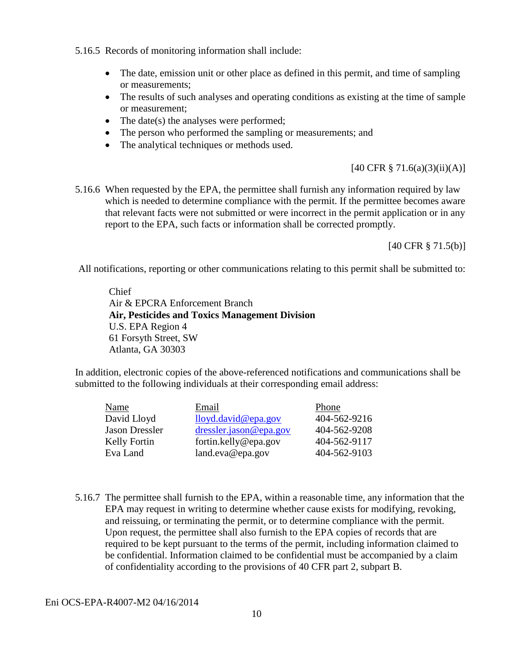5.16.5 Records of monitoring information shall include:

- The date, emission unit or other place as defined in this permit, and time of sampling or measurements;
- The results of such analyses and operating conditions as existing at the time of sample or measurement;
- $\bullet$  The date(s) the analyses were performed;
- The person who performed the sampling or measurements; and
- The analytical techniques or methods used.

 $[40 \text{ CFR } \S$  71.6(a)(3)(ii)(A)]

5.16.6 When requested by the EPA, the permittee shall furnish any information required by law which is needed to determine compliance with the permit. If the permittee becomes aware that relevant facts were not submitted or were incorrect in the permit application or in any report to the EPA, such facts or information shall be corrected promptly.

[40 CFR § 71.5(b)]

All notifications, reporting or other communications relating to this permit shall be submitted to:

Chief Air & EPCRA Enforcement Branch **Air, Pesticides and Toxics Management Division** U.S. EPA Region 4 61 Forsyth Street, SW Atlanta, GA 30303

In addition, electronic copies of the above-referenced notifications and communications shall be submitted to the following individuals at their corresponding email address:

| Email                  | Phone        |
|------------------------|--------------|
| lloyd. david@epa.gov   | 404-562-9216 |
| dressler.java @epa.gov | 404-562-9208 |
| fortin.kelly@epa.gov   | 404-562-9117 |
| land.eva@epa.gov       | 404-562-9103 |
|                        |              |

5.16.7 The permittee shall furnish to the EPA, within a reasonable time, any information that the EPA may request in writing to determine whether cause exists for modifying, revoking, and reissuing, or terminating the permit, or to determine compliance with the permit. Upon request, the permittee shall also furnish to the EPA copies of records that are required to be kept pursuant to the terms of the permit, including information claimed to be confidential. Information claimed to be confidential must be accompanied by a claim of confidentiality according to the provisions of 40 CFR part 2, subpart B.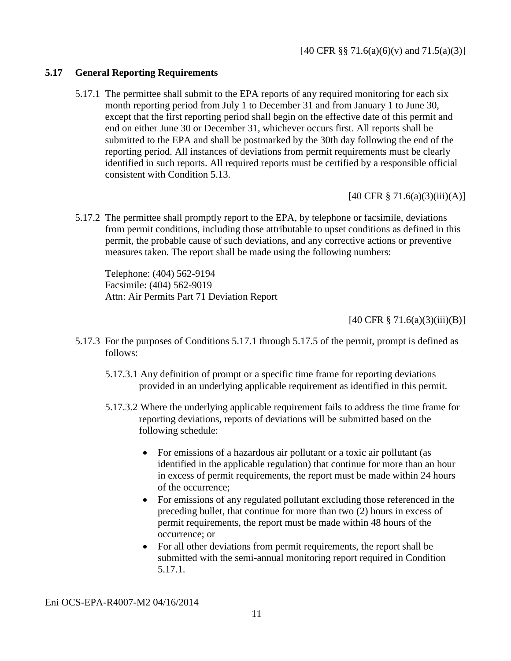### **5.17 General Reporting Requirements**

5.17.1 The permittee shall submit to the EPA reports of any required monitoring for each six month reporting period from July 1 to December 31 and from January 1 to June 30, except that the first reporting period shall begin on the effective date of this permit and end on either June 30 or December 31, whichever occurs first. All reports shall be submitted to the EPA and shall be postmarked by the 30th day following the end of the reporting period. All instances of deviations from permit requirements must be clearly identified in such reports. All required reports must be certified by a responsible official consistent with Condition 5.13.

 $[40 \text{ CFR } \frac{8}{9} \, 71.6(a)(3)(iii)(A)]$ 

5.17.2 The permittee shall promptly report to the EPA, by telephone or facsimile, deviations from permit conditions, including those attributable to upset conditions as defined in this permit, the probable cause of such deviations, and any corrective actions or preventive measures taken. The report shall be made using the following numbers:

Telephone: (404) 562-9194 Facsimile: (404) 562-9019 Attn: Air Permits Part 71 Deviation Report

 $[40 \text{ CFR } \frac{8}{9} \, 71.6(a)(3)(iii)(B)]$ 

- 5.17.3 For the purposes of Conditions 5.17.1 through 5.17.5 of the permit, prompt is defined as follows:
	- 5.17.3.1 Any definition of prompt or a specific time frame for reporting deviations provided in an underlying applicable requirement as identified in this permit.
	- 5.17.3.2 Where the underlying applicable requirement fails to address the time frame for reporting deviations, reports of deviations will be submitted based on the following schedule:
		- For emissions of a hazardous air pollutant or a toxic air pollutant (as identified in the applicable regulation) that continue for more than an hour in excess of permit requirements, the report must be made within 24 hours of the occurrence;
		- For emissions of any regulated pollutant excluding those referenced in the preceding bullet, that continue for more than two (2) hours in excess of permit requirements, the report must be made within 48 hours of the occurrence; or
		- For all other deviations from permit requirements, the report shall be submitted with the semi-annual monitoring report required in Condition 5.17.1.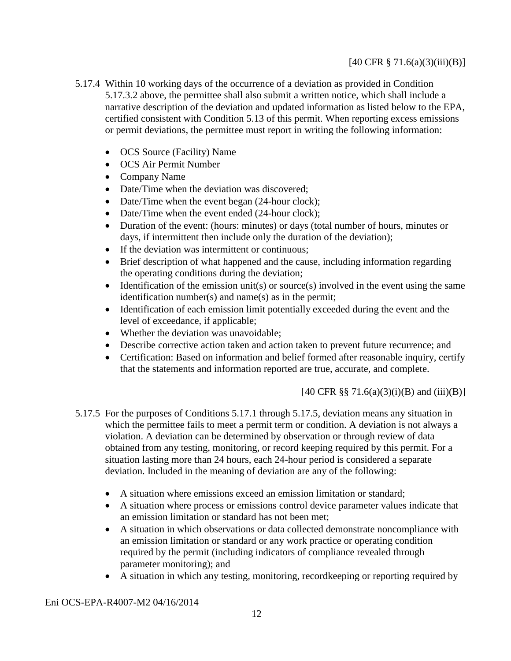### $[40 \text{ CFR } \frac{8}{9} \, 71.6(a)(3)(iii)(B)]$

- 5.17.4 Within 10 working days of the occurrence of a deviation as provided in Condition 5.17.3.2 above, the permittee shall also submit a written notice, which shall include a narrative description of the deviation and updated information as listed below to the EPA, certified consistent with Condition 5.13 of this permit. When reporting excess emissions or permit deviations, the permittee must report in writing the following information:
	- OCS Source (Facility) Name
	- OCS Air Permit Number
	- Company Name
	- Date/Time when the deviation was discovered;
	- Date/Time when the event began (24-hour clock);
	- Date/Time when the event ended (24-hour clock);
	- Duration of the event: (hours: minutes) or days (total number of hours, minutes or days, if intermittent then include only the duration of the deviation);
	- If the deviation was intermittent or continuous;
	- Brief description of what happened and the cause, including information regarding the operating conditions during the deviation;
	- $\bullet$  Identification of the emission unit(s) or source(s) involved in the event using the same identification number(s) and name(s) as in the permit;
	- Identification of each emission limit potentially exceeded during the event and the level of exceedance, if applicable;
	- Whether the deviation was unavoidable;
	- Describe corrective action taken and action taken to prevent future recurrence; and
	- Certification: Based on information and belief formed after reasonable inquiry, certify that the statements and information reported are true, accurate, and complete.

[40 CFR §§ 71.6(a)(3)(i)(B) and (iii)(B)]

- 5.17.5 For the purposes of Conditions 5.17.1 through 5.17.5, deviation means any situation in which the permittee fails to meet a permit term or condition. A deviation is not always a violation. A deviation can be determined by observation or through review of data obtained from any testing, monitoring, or record keeping required by this permit. For a situation lasting more than 24 hours, each 24-hour period is considered a separate deviation. Included in the meaning of deviation are any of the following:
	- A situation where emissions exceed an emission limitation or standard;
	- A situation where process or emissions control device parameter values indicate that an emission limitation or standard has not been met;
	- A situation in which observations or data collected demonstrate noncompliance with an emission limitation or standard or any work practice or operating condition required by the permit (including indicators of compliance revealed through parameter monitoring); and
	- A situation in which any testing, monitoring, recordkeeping or reporting required by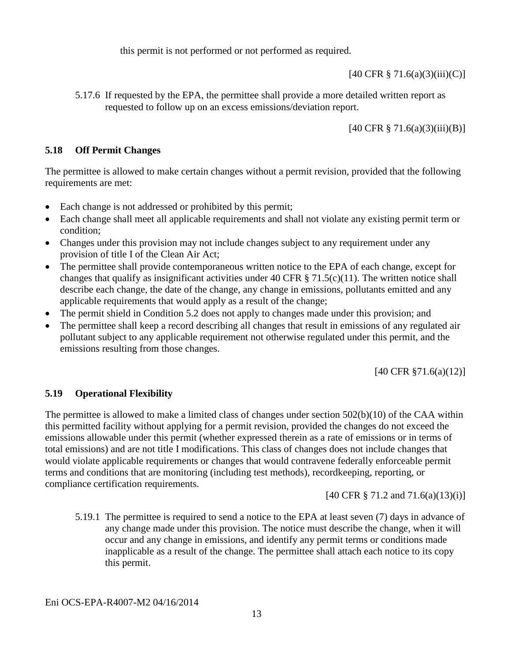this permit is not performed or not performed as required.

[40 CFR § 71.6(a)(3)(iii)(C)]

5.17.6 If requested by the EPA, the permittee shall provide a more detailed written report as requested to follow up on an excess emissions/deviation report.

[40 CFR § 71.6(a)(3)(iii)(B)]

### **5.18 Off Permit Changes**

The permittee is allowed to make certain changes without a permit revision, provided that the following requirements are met:

- Each change is not addressed or prohibited by this permit;
- Each change shall meet all applicable requirements and shall not violate any existing permit term or condition;
- Changes under this provision may not include changes subject to any requirement under any provision of title I of the Clean Air Act;
- The permittee shall provide contemporaneous written notice to the EPA of each change, except for changes that qualify as insignificant activities under 40 CFR  $\S$  71.5(c)(11). The written notice shall describe each change, the date of the change, any change in emissions, pollutants emitted and any applicable requirements that would apply as a result of the change;
- The permit shield in Condition 5.2 does not apply to changes made under this provision; and
- The permittee shall keep a record describing all changes that result in emissions of any regulated air pollutant subject to any applicable requirement not otherwise regulated under this permit, and the emissions resulting from those changes.

[40 CFR §71.6(a)(12)]

### **5.19 Operational Flexibility**

The permittee is allowed to make a limited class of changes under section  $502(b)(10)$  of the CAA within this permitted facility without applying for a permit revision, provided the changes do not exceed the emissions allowable under this permit (whether expressed therein as a rate of emissions or in terms of total emissions) and are not title I modifications. This class of changes does not include changes that would violate applicable requirements or changes that would contravene federally enforceable permit terms and conditions that are monitoring (including test methods), recordkeeping, reporting, or compliance certification requirements.

[40 CFR § 71.2 and 71.6(a)(13)(i)]

5.19.1 The permittee is required to send a notice to the EPA at least seven (7) days in advance of any change made under this provision. The notice must describe the change, when it will occur and any change in emissions, and identify any permit terms or conditions made inapplicable as a result of the change. The permittee shall attach each notice to its copy this permit.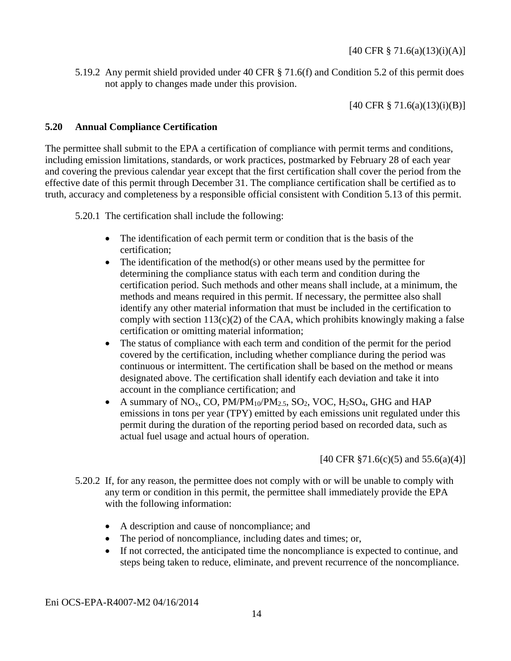5.19.2 Any permit shield provided under 40 CFR § 71.6(f) and Condition 5.2 of this permit does not apply to changes made under this provision.

[40 CFR § 71.6(a)(13)(i)(B)]

### **5.20 Annual Compliance Certification**

The permittee shall submit to the EPA a certification of compliance with permit terms and conditions, including emission limitations, standards, or work practices, postmarked by February 28 of each year and covering the previous calendar year except that the first certification shall cover the period from the effective date of this permit through December 31. The compliance certification shall be certified as to truth, accuracy and completeness by a responsible official consistent with Condition 5.13 of this permit.

5.20.1 The certification shall include the following:

- The identification of each permit term or condition that is the basis of the certification;
- $\bullet$  The identification of the method(s) or other means used by the permittee for determining the compliance status with each term and condition during the certification period. Such methods and other means shall include, at a minimum, the methods and means required in this permit. If necessary, the permittee also shall identify any other material information that must be included in the certification to comply with section  $113(c)(2)$  of the CAA, which prohibits knowingly making a false certification or omitting material information;
- The status of compliance with each term and condition of the permit for the period covered by the certification, including whether compliance during the period was continuous or intermittent. The certification shall be based on the method or means designated above. The certification shall identify each deviation and take it into account in the compliance certification; and
- A summary of  $NO<sub>x</sub>$ , CO,  $PM/PM_{10}/PM_{2.5}$ , SO<sub>2</sub>, VOC, H<sub>2</sub>SO<sub>4</sub>, GHG and HAP emissions in tons per year (TPY) emitted by each emissions unit regulated under this permit during the duration of the reporting period based on recorded data, such as actual fuel usage and actual hours of operation.

[40 CFR  $\S 71.6(c)(5)$  and  $55.6(a)(4)$ ]

- 5.20.2 If, for any reason, the permittee does not comply with or will be unable to comply with any term or condition in this permit, the permittee shall immediately provide the EPA with the following information:
	- A description and cause of noncompliance; and
	- The period of noncompliance, including dates and times; or,
	- If not corrected, the anticipated time the noncompliance is expected to continue, and steps being taken to reduce, eliminate, and prevent recurrence of the noncompliance.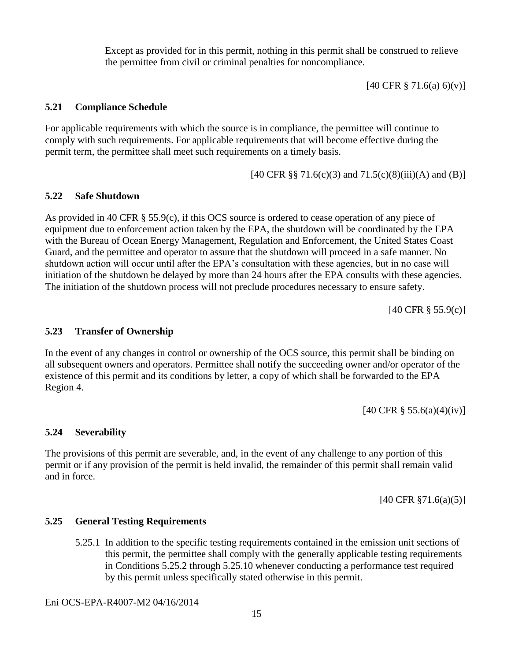Except as provided for in this permit, nothing in this permit shall be construed to relieve the permittee from civil or criminal penalties for noncompliance.

 $[40 \text{ CFR } \frac{8}{9} \, 71.6(a) \, 6)(v)]$ 

### **5.21 Compliance Schedule**

For applicable requirements with which the source is in compliance, the permittee will continue to comply with such requirements. For applicable requirements that will become effective during the permit term, the permittee shall meet such requirements on a timely basis.

[40 CFR §§ 71.6(c)(3) and  $71.5(c)(8)(iii)(A)$  and (B)]

### **5.22 Safe Shutdown**

As provided in 40 CFR § 55.9(c), if this OCS source is ordered to cease operation of any piece of equipment due to enforcement action taken by the EPA, the shutdown will be coordinated by the EPA with the Bureau of Ocean Energy Management, Regulation and Enforcement, the United States Coast Guard, and the permittee and operator to assure that the shutdown will proceed in a safe manner. No shutdown action will occur until after the EPA's consultation with these agencies, but in no case will initiation of the shutdown be delayed by more than 24 hours after the EPA consults with these agencies. The initiation of the shutdown process will not preclude procedures necessary to ensure safety.

[40 CFR § 55.9(c)]

#### **5.23 Transfer of Ownership**

In the event of any changes in control or ownership of the OCS source, this permit shall be binding on all subsequent owners and operators. Permittee shall notify the succeeding owner and/or operator of the existence of this permit and its conditions by letter, a copy of which shall be forwarded to the EPA Region 4.

[40 CFR § 55.6(a)(4)(iv)]

### **5.24 Severability**

The provisions of this permit are severable, and, in the event of any challenge to any portion of this permit or if any provision of the permit is held invalid, the remainder of this permit shall remain valid and in force.

[40 CFR §71.6(a)(5)]

### **5.25 General Testing Requirements**

5.25.1 In addition to the specific testing requirements contained in the emission unit sections of this permit, the permittee shall comply with the generally applicable testing requirements in Conditions 5.25.2 through 5.25.10 whenever conducting a performance test required by this permit unless specifically stated otherwise in this permit.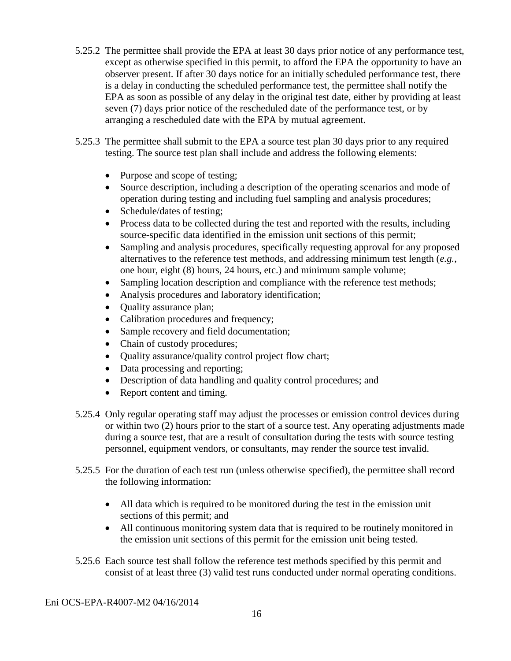- 5.25.2 The permittee shall provide the EPA at least 30 days prior notice of any performance test, except as otherwise specified in this permit, to afford the EPA the opportunity to have an observer present. If after 30 days notice for an initially scheduled performance test, there is a delay in conducting the scheduled performance test, the permittee shall notify the EPA as soon as possible of any delay in the original test date, either by providing at least seven (7) days prior notice of the rescheduled date of the performance test, or by arranging a rescheduled date with the EPA by mutual agreement.
- 5.25.3 The permittee shall submit to the EPA a source test plan 30 days prior to any required testing. The source test plan shall include and address the following elements:
	- Purpose and scope of testing;
	- Source description, including a description of the operating scenarios and mode of operation during testing and including fuel sampling and analysis procedures;
	- Schedule/dates of testing;
	- Process data to be collected during the test and reported with the results, including source-specific data identified in the emission unit sections of this permit;
	- Sampling and analysis procedures, specifically requesting approval for any proposed alternatives to the reference test methods, and addressing minimum test length (*e.g.*, one hour, eight (8) hours, 24 hours, etc.) and minimum sample volume;
	- Sampling location description and compliance with the reference test methods;
	- Analysis procedures and laboratory identification;
	- Quality assurance plan;
	- Calibration procedures and frequency;
	- Sample recovery and field documentation;
	- Chain of custody procedures;
	- Quality assurance/quality control project flow chart;
	- Data processing and reporting;
	- Description of data handling and quality control procedures; and
	- Report content and timing.
- 5.25.4 Only regular operating staff may adjust the processes or emission control devices during or within two (2) hours prior to the start of a source test. Any operating adjustments made during a source test, that are a result of consultation during the tests with source testing personnel, equipment vendors, or consultants, may render the source test invalid.
- 5.25.5 For the duration of each test run (unless otherwise specified), the permittee shall record the following information:
	- All data which is required to be monitored during the test in the emission unit sections of this permit; and
	- All continuous monitoring system data that is required to be routinely monitored in the emission unit sections of this permit for the emission unit being tested.
- 5.25.6 Each source test shall follow the reference test methods specified by this permit and consist of at least three (3) valid test runs conducted under normal operating conditions.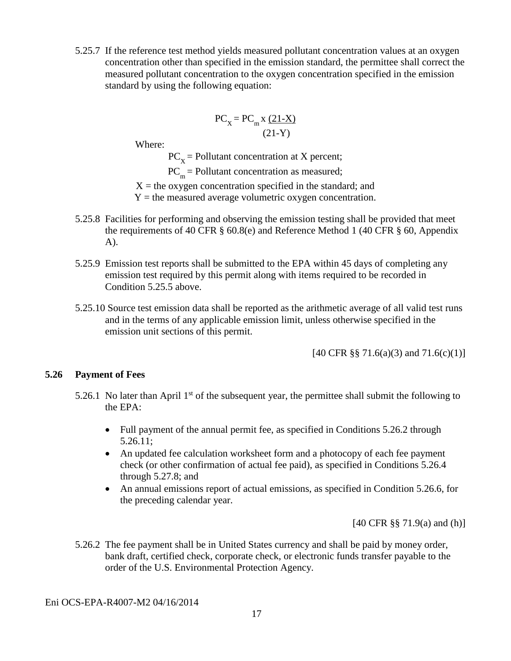5.25.7 If the reference test method yields measured pollutant concentration values at an oxygen concentration other than specified in the emission standard, the permittee shall correct the measured pollutant concentration to the oxygen concentration specified in the emission standard by using the following equation:

$$
PC_{\rm X} = PC_{\rm m} \times \frac{(21-X)}{(21-Y)}
$$

Where:

 $PC_v =$  Pollutant concentration at X percent;

 $PC<sub>m</sub>$  = Pollutant concentration as measured;

 $X =$  the oxygen concentration specified in the standard; and

 $Y =$  the measured average volumetric oxygen concentration.

- 5.25.8 Facilities for performing and observing the emission testing shall be provided that meet the requirements of 40 CFR § 60.8(e) and Reference Method 1 (40 CFR § 60, Appendix A).
- 5.25.9 Emission test reports shall be submitted to the EPA within 45 days of completing any emission test required by this permit along with items required to be recorded in Condition 5.25.5 above.
- 5.25.10 Source test emission data shall be reported as the arithmetic average of all valid test runs and in the terms of any applicable emission limit, unless otherwise specified in the emission unit sections of this permit.

[40 CFR §§ 71.6(a)(3) and 71.6(c)(1)]

#### **5.26 Payment of Fees**

- 5.26.1 No later than April  $1<sup>st</sup>$  of the subsequent year, the permittee shall submit the following to the EPA:
	- Full payment of the annual permit fee, as specified in Conditions 5.26.2 through 5.26.11;
	- An updated fee calculation worksheet form and a photocopy of each fee payment check (or other confirmation of actual fee paid), as specified in Conditions 5.26.4 through 5.27.8; and
	- An annual emissions report of actual emissions, as specified in Condition 5.26.6, for the preceding calendar year.

[40 CFR §§ 71.9(a) and (h)]

5.26.2 The fee payment shall be in United States currency and shall be paid by money order, bank draft, certified check, corporate check, or electronic funds transfer payable to the order of the U.S. Environmental Protection Agency.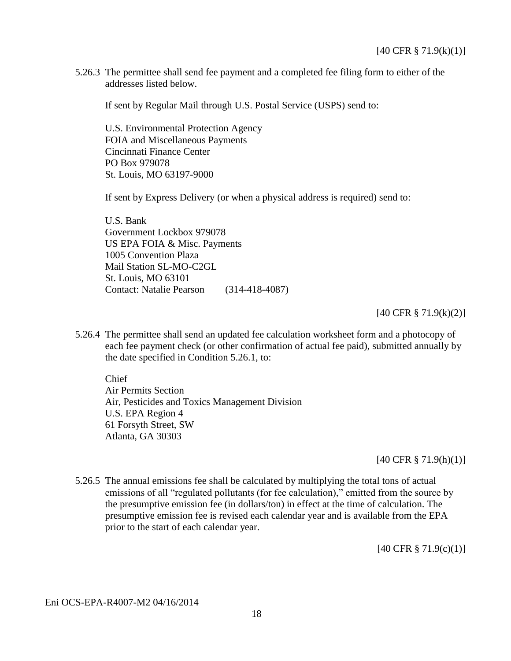5.26.3 The permittee shall send fee payment and a completed fee filing form to either of the addresses listed below.

If sent by Regular Mail through U.S. Postal Service (USPS) send to:

U.S. Environmental Protection Agency FOIA and Miscellaneous Payments Cincinnati Finance Center PO Box 979078 St. Louis, MO 63197-9000

If sent by Express Delivery (or when a physical address is required) send to:

U.S. Bank Government Lockbox 979078 US EPA FOIA & Misc. Payments 1005 Convention Plaza Mail Station SL-MO-C2GL St. Louis, MO 63101 Contact: Natalie Pearson (314-418-4087)

#### [40 CFR § 71.9(k)(2)]

5.26.4 The permittee shall send an updated fee calculation worksheet form and a photocopy of each fee payment check (or other confirmation of actual fee paid), submitted annually by the date specified in Condition 5.26.1, to:

Chief Air Permits Section Air, Pesticides and Toxics Management Division U.S. EPA Region 4 61 Forsyth Street, SW Atlanta, GA 30303

[40 CFR § 71.9(h)(1)]

5.26.5 The annual emissions fee shall be calculated by multiplying the total tons of actual emissions of all "regulated pollutants (for fee calculation)," emitted from the source by the presumptive emission fee (in dollars/ton) in effect at the time of calculation. The presumptive emission fee is revised each calendar year and is available from the EPA prior to the start of each calendar year.

[40 CFR § 71.9(c)(1)]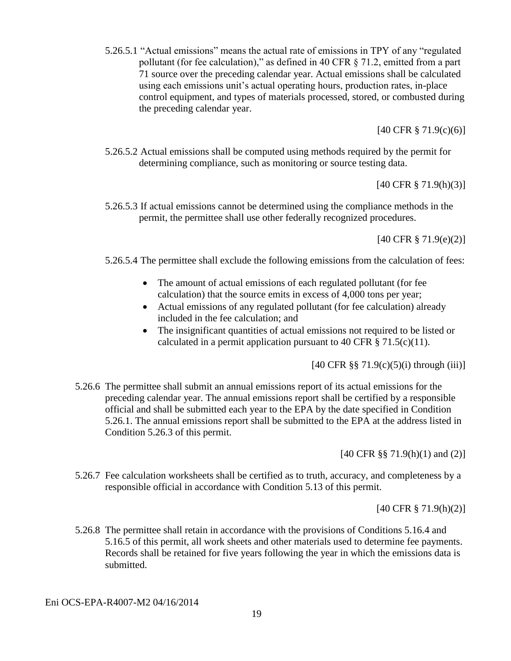5.26.5.1 "Actual emissions" means the actual rate of emissions in TPY of any "regulated pollutant (for fee calculation)," as defined in 40 CFR § 71.2, emitted from a part 71 source over the preceding calendar year. Actual emissions shall be calculated using each emissions unit's actual operating hours, production rates, in-place control equipment, and types of materials processed, stored, or combusted during the preceding calendar year.

[40 CFR § 71.9(c)(6)]

5.26.5.2 Actual emissions shall be computed using methods required by the permit for determining compliance, such as monitoring or source testing data.

[40 CFR § 71.9(h)(3)]

5.26.5.3 If actual emissions cannot be determined using the compliance methods in the permit, the permittee shall use other federally recognized procedures.

[40 CFR § 71.9(e)(2)]

- 5.26.5.4 The permittee shall exclude the following emissions from the calculation of fees:
	- The amount of actual emissions of each regulated pollutant (for fee calculation) that the source emits in excess of 4,000 tons per year;
	- Actual emissions of any regulated pollutant (for fee calculation) already included in the fee calculation; and
	- The insignificant quantities of actual emissions not required to be listed or calculated in a permit application pursuant to 40 CFR  $\S 71.5(c)(11)$ .

 $[40 \text{ CFR } \frac{88}{3} \cdot 71.9(c)(5)(i)$  through (iii)]

5.26.6 The permittee shall submit an annual emissions report of its actual emissions for the preceding calendar year. The annual emissions report shall be certified by a responsible official and shall be submitted each year to the EPA by the date specified in Condition 5.26.1. The annual emissions report shall be submitted to the EPA at the address listed in Condition 5.26.3 of this permit.

[40 CFR §§ 71.9(h)(1) and (2)]

5.26.7 Fee calculation worksheets shall be certified as to truth, accuracy, and completeness by a responsible official in accordance with Condition 5.13 of this permit.

[40 CFR § 71.9(h)(2)]

5.26.8 The permittee shall retain in accordance with the provisions of Conditions 5.16.4 and 5.16.5 of this permit, all work sheets and other materials used to determine fee payments. Records shall be retained for five years following the year in which the emissions data is submitted.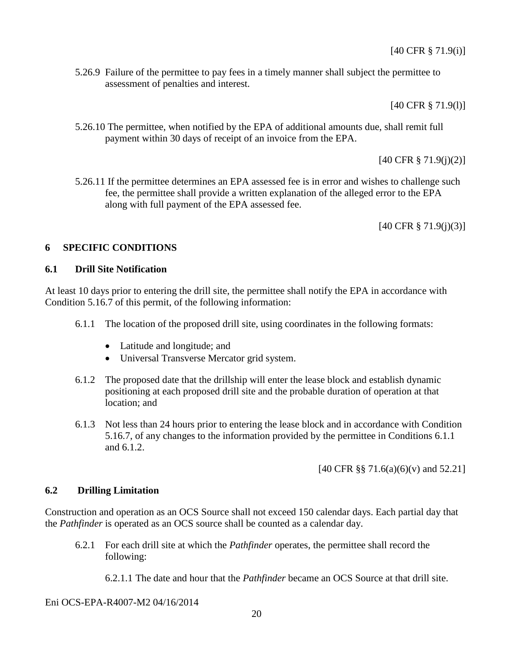5.26.9 Failure of the permittee to pay fees in a timely manner shall subject the permittee to assessment of penalties and interest.

[40 CFR § 71.9(l)]

5.26.10 The permittee, when notified by the EPA of additional amounts due, shall remit full payment within 30 days of receipt of an invoice from the EPA.

[40 CFR § 71.9(j)(2)]

5.26.11 If the permittee determines an EPA assessed fee is in error and wishes to challenge such fee, the permittee shall provide a written explanation of the alleged error to the EPA along with full payment of the EPA assessed fee.

[40 CFR § 71.9(j)(3)]

### **6 SPECIFIC CONDITIONS**

### **6.1 Drill Site Notification**

At least 10 days prior to entering the drill site, the permittee shall notify the EPA in accordance with Condition 5.16.7 of this permit, of the following information:

- 6.1.1 The location of the proposed drill site, using coordinates in the following formats:
	- Latitude and longitude; and
	- Universal Transverse Mercator grid system.
- 6.1.2 The proposed date that the drillship will enter the lease block and establish dynamic positioning at each proposed drill site and the probable duration of operation at that location; and
- 6.1.3 Not less than 24 hours prior to entering the lease block and in accordance with Condition 5.16.7, of any changes to the information provided by the permittee in Conditions 6.1.1 and 6.1.2.

[40 CFR §§ 71.6(a)(6)(v) and 52.21]

#### **6.2 Drilling Limitation**

Construction and operation as an OCS Source shall not exceed 150 calendar days. Each partial day that the *Pathfinder* is operated as an OCS source shall be counted as a calendar day.

6.2.1 For each drill site at which the *Pathfinder* operates, the permittee shall record the following:

6.2.1.1 The date and hour that the *Pathfinder* became an OCS Source at that drill site.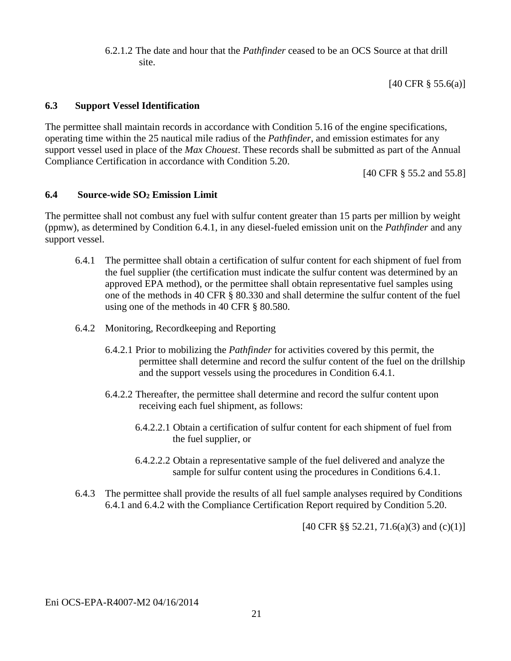6.2.1.2 The date and hour that the *Pathfinder* ceased to be an OCS Source at that drill site.

[40 CFR § 55.6(a)]

#### **6.3 Support Vessel Identification**

The permittee shall maintain records in accordance with Condition 5.16 of the engine specifications, operating time within the 25 nautical mile radius of the *Pathfinder*, and emission estimates for any support vessel used in place of the *Max Chouest*. These records shall be submitted as part of the Annual Compliance Certification in accordance with Condition 5.20.

[40 CFR § 55.2 and 55.8]

### **6.4 Source-wide SO<sup>2</sup> Emission Limit**

The permittee shall not combust any fuel with sulfur content greater than 15 parts per million by weight (ppmw), as determined by Condition 6.4.1, in any diesel-fueled emission unit on the *Pathfinder* and any support vessel.

- 6.4.1 The permittee shall obtain a certification of sulfur content for each shipment of fuel from the fuel supplier (the certification must indicate the sulfur content was determined by an approved EPA method), or the permittee shall obtain representative fuel samples using one of the methods in 40 CFR § 80.330 and shall determine the sulfur content of the fuel using one of the methods in 40 CFR § 80.580.
- 6.4.2 Monitoring, Recordkeeping and Reporting
	- 6.4.2.1 Prior to mobilizing the *Pathfinder* for activities covered by this permit, the permittee shall determine and record the sulfur content of the fuel on the drillship and the support vessels using the procedures in Condition 6.4.1.
	- 6.4.2.2 Thereafter, the permittee shall determine and record the sulfur content upon receiving each fuel shipment, as follows:
		- 6.4.2.2.1 Obtain a certification of sulfur content for each shipment of fuel from the fuel supplier, or
		- 6.4.2.2.2 Obtain a representative sample of the fuel delivered and analyze the sample for sulfur content using the procedures in Conditions 6.4.1.
- 6.4.3 The permittee shall provide the results of all fuel sample analyses required by Conditions 6.4.1 and 6.4.2 with the Compliance Certification Report required by Condition 5.20.

 $[40 \text{ CFR } \S \S 52.21, 71.6(a)(3) \text{ and } (c)(1)]$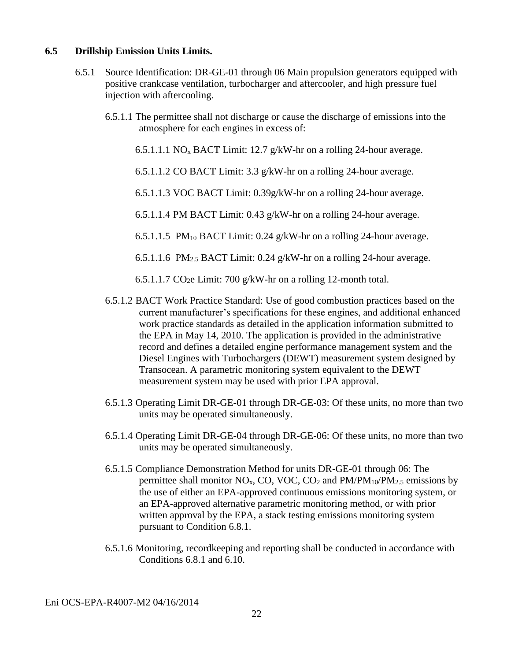#### **6.5 Drillship Emission Units Limits.**

- 6.5.1 Source Identification: DR-GE-01 through 06 Main propulsion generators equipped with positive crankcase ventilation, turbocharger and aftercooler, and high pressure fuel injection with aftercooling.
	- 6.5.1.1 The permittee shall not discharge or cause the discharge of emissions into the atmosphere for each engines in excess of:
		- 6.5.1.1.1 NO<sup>x</sup> BACT Limit: 12.7 g/kW-hr on a rolling 24-hour average.
		- 6.5.1.1.2 CO BACT Limit: 3.3 g/kW-hr on a rolling 24-hour average.
		- 6.5.1.1.3 VOC BACT Limit: 0.39g/kW-hr on a rolling 24-hour average.
		- 6.5.1.1.4 PM BACT Limit: 0.43 g/kW-hr on a rolling 24-hour average.
		- 6.5.1.1.5 PM<sub>10</sub> BACT Limit: 0.24 g/kW-hr on a rolling 24-hour average.
		- 6.5.1.1.6 PM<sub>2.5</sub> BACT Limit: 0.24 g/kW-hr on a rolling 24-hour average.
		- 6.5.1.1.7 CO2e Limit: 700 g/kW-hr on a rolling 12-month total.
	- 6.5.1.2 BACT Work Practice Standard: Use of good combustion practices based on the current manufacturer's specifications for these engines, and additional enhanced work practice standards as detailed in the application information submitted to the EPA in May 14, 2010. The application is provided in the administrative record and defines a detailed engine performance management system and the Diesel Engines with Turbochargers (DEWT) measurement system designed by Transocean. A parametric monitoring system equivalent to the DEWT measurement system may be used with prior EPA approval.
	- 6.5.1.3 Operating Limit DR-GE-01 through DR-GE-03: Of these units, no more than two units may be operated simultaneously.
	- 6.5.1.4 Operating Limit DR-GE-04 through DR-GE-06: Of these units, no more than two units may be operated simultaneously.
	- 6.5.1.5 Compliance Demonstration Method for units DR-GE-01 through 06: The permittee shall monitor  $NO<sub>x</sub>$ , CO, VOC, CO<sub>2</sub> and  $PM/PM_{10}/PM_{2.5}$  emissions by the use of either an EPA-approved continuous emissions monitoring system, or an EPA-approved alternative parametric monitoring method, or with prior written approval by the EPA, a stack testing emissions monitoring system pursuant to Condition 6.8.1.
	- 6.5.1.6 Monitoring, recordkeeping and reporting shall be conducted in accordance with Conditions 6.8.1 and 6.10.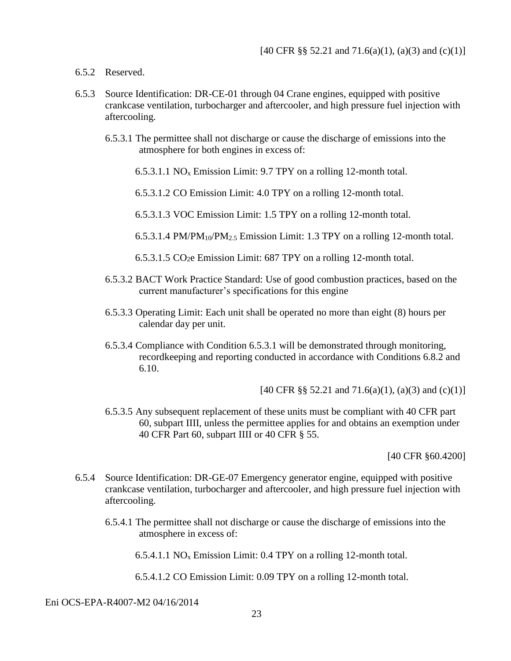- 6.5.2 Reserved.
- 6.5.3 Source Identification: DR-CE-01 through 04 Crane engines, equipped with positive crankcase ventilation, turbocharger and aftercooler, and high pressure fuel injection with aftercooling.
	- 6.5.3.1 The permittee shall not discharge or cause the discharge of emissions into the atmosphere for both engines in excess of:
		- 6.5.3.1.1 NO<sub>x</sub> Emission Limit: 9.7 TPY on a rolling 12-month total.
		- 6.5.3.1.2 CO Emission Limit: 4.0 TPY on a rolling 12-month total.
		- 6.5.3.1.3 VOC Emission Limit: 1.5 TPY on a rolling 12-month total.
		- 6.5.3.1.4 PM/PM10/PM2.5 Emission Limit: 1.3 TPY on a rolling 12-month total.
		- 6.5.3.1.5 CO2e Emission Limit: 687 TPY on a rolling 12-month total.
	- 6.5.3.2 BACT Work Practice Standard: Use of good combustion practices, based on the current manufacturer's specifications for this engine
	- 6.5.3.3 Operating Limit: Each unit shall be operated no more than eight (8) hours per calendar day per unit.
	- 6.5.3.4 Compliance with Condition 6.5.3.1 will be demonstrated through monitoring, recordkeeping and reporting conducted in accordance with Conditions 6.8.2 and 6.10.

[40 CFR §§ 52.21 and 71.6(a)(1), (a)(3) and (c)(1)]

6.5.3.5 Any subsequent replacement of these units must be compliant with 40 CFR part 60, subpart IIII, unless the permittee applies for and obtains an exemption under 40 CFR Part 60, subpart IIII or 40 CFR § 55.

[40 CFR §60.4200]

- 6.5.4 Source Identification: DR-GE-07 Emergency generator engine, equipped with positive crankcase ventilation, turbocharger and aftercooler, and high pressure fuel injection with aftercooling.
	- 6.5.4.1 The permittee shall not discharge or cause the discharge of emissions into the atmosphere in excess of:

6.5.4.1.1 NO<sub>x</sub> Emission Limit: 0.4 TPY on a rolling 12-month total.

6.5.4.1.2 CO Emission Limit: 0.09 TPY on a rolling 12-month total.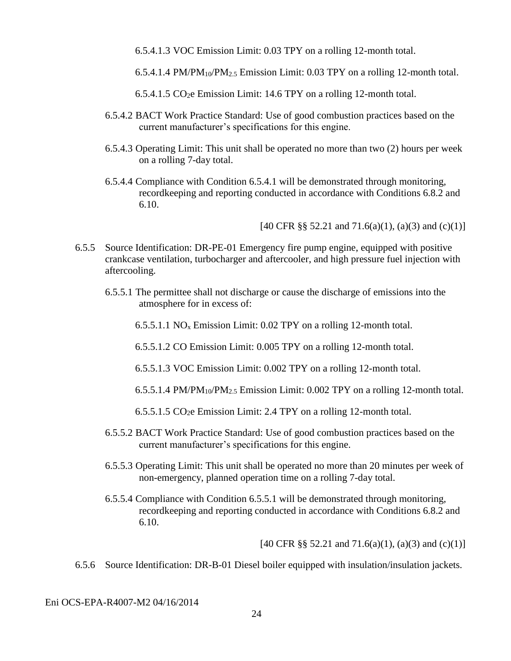- 6.5.4.1.3 VOC Emission Limit: 0.03 TPY on a rolling 12-month total.
- 6.5.4.1.4 PM/PM<sub>10</sub>/PM<sub>2.5</sub> Emission Limit: 0.03 TPY on a rolling 12-month total.
- $6.5.4.1.5 \text{ CO}_2$ e Emission Limit: 14.6 TPY on a rolling 12-month total.
- 6.5.4.2 BACT Work Practice Standard: Use of good combustion practices based on the current manufacturer's specifications for this engine.
- 6.5.4.3 Operating Limit: This unit shall be operated no more than two (2) hours per week on a rolling 7-day total.
- 6.5.4.4 Compliance with Condition 6.5.4.1 will be demonstrated through monitoring, recordkeeping and reporting conducted in accordance with Conditions 6.8.2 and 6.10.

[40 CFR §§ 52.21 and 71.6(a)(1), (a)(3) and (c)(1)]

- 6.5.5 Source Identification: DR-PE-01 Emergency fire pump engine, equipped with positive crankcase ventilation, turbocharger and aftercooler, and high pressure fuel injection with aftercooling.
	- 6.5.5.1 The permittee shall not discharge or cause the discharge of emissions into the atmosphere for in excess of:
		- 6.5.5.1.1 NO<sup>x</sup> Emission Limit: 0.02 TPY on a rolling 12-month total.
		- 6.5.5.1.2 CO Emission Limit: 0.005 TPY on a rolling 12-month total.
		- 6.5.5.1.3 VOC Emission Limit: 0.002 TPY on a rolling 12-month total.
		- 6.5.5.1.4 PM/PM<sub>10</sub>/PM<sub>2.5</sub> Emission Limit: 0.002 TPY on a rolling 12-month total.
		- 6.5.5.1.5 CO2e Emission Limit: 2.4 TPY on a rolling 12-month total.
	- 6.5.5.2 BACT Work Practice Standard: Use of good combustion practices based on the current manufacturer's specifications for this engine.
	- 6.5.5.3 Operating Limit: This unit shall be operated no more than 20 minutes per week of non-emergency, planned operation time on a rolling 7-day total.
	- 6.5.5.4 Compliance with Condition 6.5.5.1 will be demonstrated through monitoring, recordkeeping and reporting conducted in accordance with Conditions 6.8.2 and 6.10.

[40 CFR §§ 52.21 and 71.6(a)(1), (a)(3) and (c)(1)]

6.5.6 Source Identification: DR-B-01 Diesel boiler equipped with insulation/insulation jackets.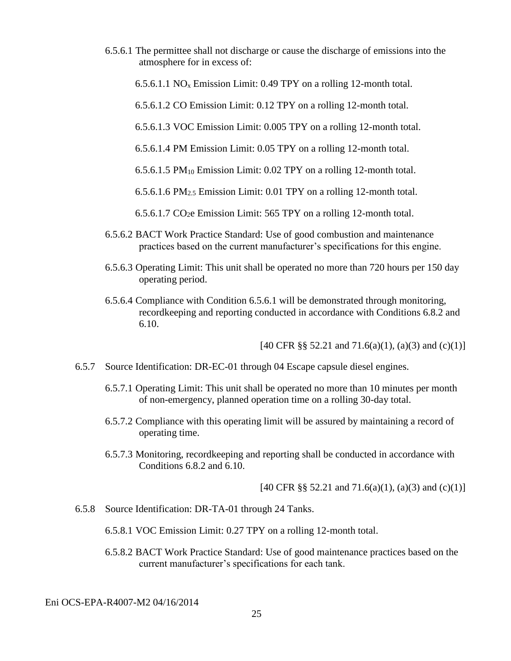- 6.5.6.1 The permittee shall not discharge or cause the discharge of emissions into the atmosphere for in excess of:
	- 6.5.6.1.1 NO<sub>x</sub> Emission Limit: 0.49 TPY on a rolling 12-month total.

6.5.6.1.2 CO Emission Limit: 0.12 TPY on a rolling 12-month total.

- 6.5.6.1.3 VOC Emission Limit: 0.005 TPY on a rolling 12-month total.
- 6.5.6.1.4 PM Emission Limit: 0.05 TPY on a rolling 12-month total.

6.5.6.1.5 PM<sup>10</sup> Emission Limit: 0.02 TPY on a rolling 12-month total.

6.5.6.1.6 PM2.5 Emission Limit: 0.01 TPY on a rolling 12-month total.

6.5.6.1.7 CO2e Emission Limit: 565 TPY on a rolling 12-month total.

- 6.5.6.2 BACT Work Practice Standard: Use of good combustion and maintenance practices based on the current manufacturer's specifications for this engine.
- 6.5.6.3 Operating Limit: This unit shall be operated no more than 720 hours per 150 day operating period.
- 6.5.6.4 Compliance with Condition 6.5.6.1 will be demonstrated through monitoring, recordkeeping and reporting conducted in accordance with Conditions 6.8.2 and 6.10.

[40 CFR §§ 52.21 and 71.6(a)(1), (a)(3) and (c)(1)]

- 6.5.7 Source Identification: DR-EC-01 through 04 Escape capsule diesel engines.
	- 6.5.7.1 Operating Limit: This unit shall be operated no more than 10 minutes per month of non-emergency, planned operation time on a rolling 30-day total.
	- 6.5.7.2 Compliance with this operating limit will be assured by maintaining a record of operating time.
	- 6.5.7.3 Monitoring, recordkeeping and reporting shall be conducted in accordance with Conditions 6.8.2 and 6.10.

[40 CFR §§ 52.21 and 71.6(a)(1), (a)(3) and (c)(1)]

6.5.8 Source Identification: DR-TA-01 through 24 Tanks.

6.5.8.1 VOC Emission Limit: 0.27 TPY on a rolling 12-month total.

6.5.8.2 BACT Work Practice Standard: Use of good maintenance practices based on the current manufacturer's specifications for each tank.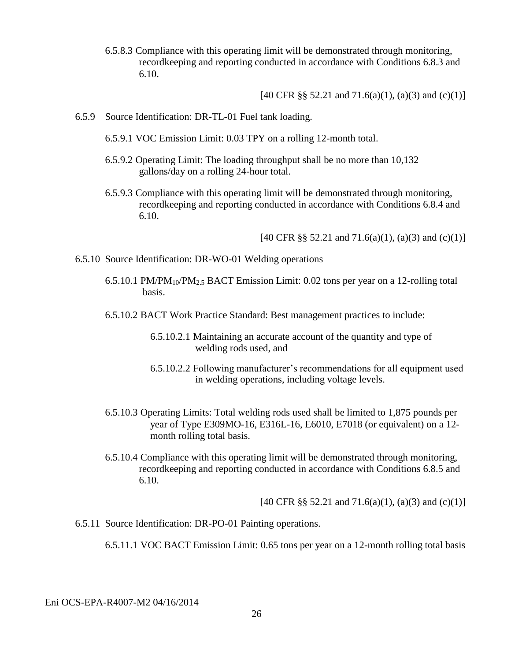6.5.8.3 Compliance with this operating limit will be demonstrated through monitoring, recordkeeping and reporting conducted in accordance with Conditions 6.8.3 and 6.10.

 $[40 \text{ CFR } \S \S 52.21 \text{ and } 71.6(a)(1), (a)(3) \text{ and } (c)(1)]$ 

- 6.5.9 Source Identification: DR-TL-01 Fuel tank loading.
	- 6.5.9.1 VOC Emission Limit: 0.03 TPY on a rolling 12-month total.
	- 6.5.9.2 Operating Limit: The loading throughput shall be no more than 10,132 gallons/day on a rolling 24-hour total.
	- 6.5.9.3 Compliance with this operating limit will be demonstrated through monitoring, recordkeeping and reporting conducted in accordance with Conditions 6.8.4 and 6.10.

[40 CFR §§ 52.21 and 71.6(a)(1), (a)(3) and (c)(1)]

- 6.5.10 Source Identification: DR-WO-01 Welding operations
	- 6.5.10.1 PM/PM<sub>10</sub>/PM<sub>2.5</sub> BACT Emission Limit: 0.02 tons per year on a 12-rolling total basis.
	- 6.5.10.2 BACT Work Practice Standard: Best management practices to include:
		- 6.5.10.2.1 Maintaining an accurate account of the quantity and type of welding rods used, and
		- 6.5.10.2.2 Following manufacturer's recommendations for all equipment used in welding operations, including voltage levels.
	- 6.5.10.3 Operating Limits: Total welding rods used shall be limited to 1,875 pounds per year of Type E309MO-16, E316L-16, E6010, E7018 (or equivalent) on a 12 month rolling total basis.
	- 6.5.10.4 Compliance with this operating limit will be demonstrated through monitoring, recordkeeping and reporting conducted in accordance with Conditions 6.8.5 and 6.10.

[40 CFR §§ 52.21 and 71.6(a)(1), (a)(3) and (c)(1)]

6.5.11 Source Identification: DR-PO-01 Painting operations.

6.5.11.1 VOC BACT Emission Limit: 0.65 tons per year on a 12-month rolling total basis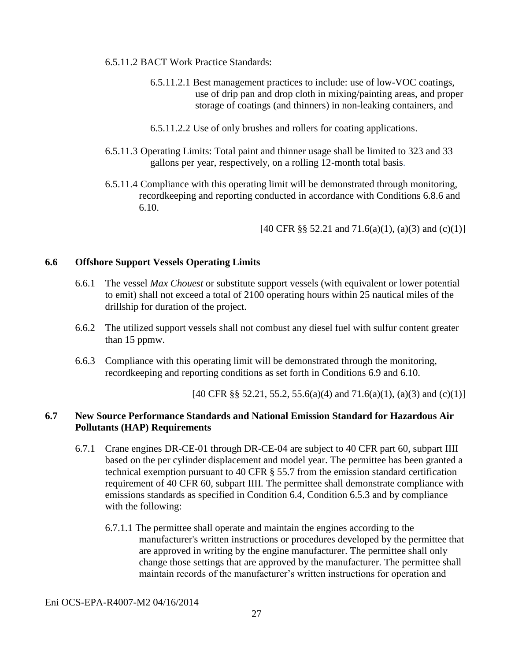- 6.5.11.2 BACT Work Practice Standards:
	- 6.5.11.2.1 Best management practices to include: use of low-VOC coatings, use of drip pan and drop cloth in mixing/painting areas, and proper storage of coatings (and thinners) in non-leaking containers, and
	- 6.5.11.2.2 Use of only brushes and rollers for coating applications.
- 6.5.11.3 Operating Limits: Total paint and thinner usage shall be limited to 323 and 33 gallons per year, respectively, on a rolling 12-month total basis.
- 6.5.11.4 Compliance with this operating limit will be demonstrated through monitoring, recordkeeping and reporting conducted in accordance with Conditions 6.8.6 and 6.10.

[40 CFR §§ 52.21 and 71.6(a)(1), (a)(3) and (c)(1)]

#### **6.6 Offshore Support Vessels Operating Limits**

- 6.6.1 The vessel *Max Chouest* or substitute support vessels (with equivalent or lower potential to emit) shall not exceed a total of 2100 operating hours within 25 nautical miles of the drillship for duration of the project.
- 6.6.2 The utilized support vessels shall not combust any diesel fuel with sulfur content greater than 15 ppmw.
- 6.6.3 Compliance with this operating limit will be demonstrated through the monitoring, recordkeeping and reporting conditions as set forth in Conditions 6.9 and 6.10.

[40 CFR §§ 52.21, 55.2, 55.6(a)(4) and 71.6(a)(1), (a)(3) and (c)(1)]

### **6.7 New Source Performance Standards and National Emission Standard for Hazardous Air Pollutants (HAP) Requirements**

- 6.7.1 Crane engines DR-CE-01 through DR-CE-04 are subject to 40 CFR part 60, subpart IIII based on the per cylinder displacement and model year. The permittee has been granted a technical exemption pursuant to 40 CFR § 55.7 from the emission standard certification requirement of 40 CFR 60, subpart IIII. The permittee shall demonstrate compliance with emissions standards as specified in Condition 6.4, Condition 6.5.3 and by compliance with the following:
	- 6.7.1.1 The permittee shall operate and maintain the engines according to the manufacturer's written instructions or procedures developed by the permittee that are approved in writing by the engine manufacturer. The permittee shall only change those settings that are approved by the manufacturer. The permittee shall maintain records of the manufacturer's written instructions for operation and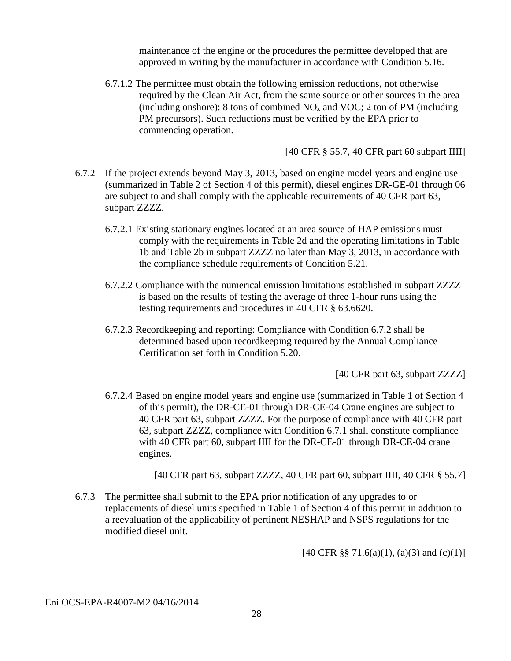maintenance of the engine or the procedures the permittee developed that are approved in writing by the manufacturer in accordance with Condition 5.16.

6.7.1.2 The permittee must obtain the following emission reductions, not otherwise required by the Clean Air Act, from the same source or other sources in the area (including onshore): 8 tons of combined  $NO<sub>x</sub>$  and  $VOC$ ; 2 ton of PM (including PM precursors). Such reductions must be verified by the EPA prior to commencing operation.

[40 CFR § 55.7, 40 CFR part 60 subpart IIII]

- 6.7.2 If the project extends beyond May 3, 2013, based on engine model years and engine use (summarized in Table 2 of Section 4 of this permit), diesel engines DR-GE-01 through 06 are subject to and shall comply with the applicable requirements of 40 CFR part 63, subpart ZZZZ.
	- 6.7.2.1 Existing stationary engines located at an area source of HAP emissions must comply with the requirements in Table 2d and the operating limitations in Table 1b and Table 2b in subpart ZZZZ no later than May 3, 2013, in accordance with the compliance schedule requirements of Condition 5.21.
	- 6.7.2.2 Compliance with the numerical emission limitations established in subpart ZZZZ is based on the results of testing the average of three 1-hour runs using the testing requirements and procedures in 40 CFR § 63.6620.
	- 6.7.2.3 Recordkeeping and reporting: Compliance with Condition 6.7.2 shall be determined based upon recordkeeping required by the Annual Compliance Certification set forth in Condition 5.20.

[40 CFR part 63, subpart ZZZZ]

6.7.2.4 Based on engine model years and engine use (summarized in Table 1 of Section 4 of this permit), the DR-CE-01 through DR-CE-04 Crane engines are subject to 40 CFR part 63, subpart ZZZZ. For the purpose of compliance with 40 CFR part 63, subpart ZZZZ, compliance with Condition 6.7.1 shall constitute compliance with 40 CFR part 60, subpart IIII for the DR-CE-01 through DR-CE-04 crane engines.

[40 CFR part 63, subpart ZZZZ, 40 CFR part 60, subpart IIII, 40 CFR § 55.7]

6.7.3 The permittee shall submit to the EPA prior notification of any upgrades to or replacements of diesel units specified in Table 1 of Section 4 of this permit in addition to a reevaluation of the applicability of pertinent NESHAP and NSPS regulations for the modified diesel unit.

[40 CFR §§ 71.6(a)(1), (a)(3) and (c)(1)]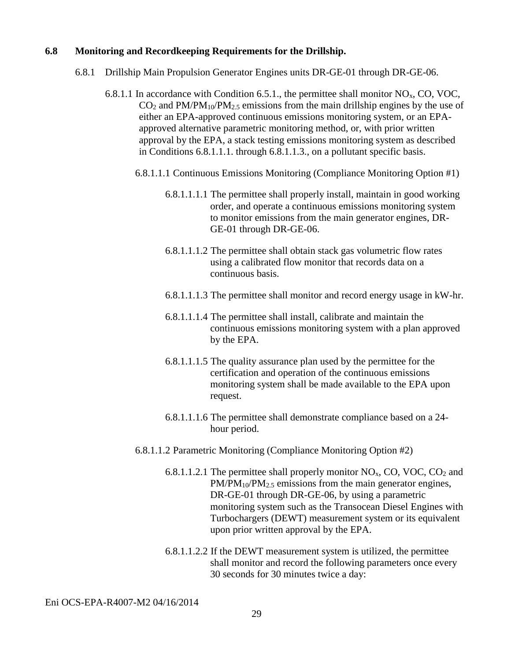#### **6.8 Monitoring and Recordkeeping Requirements for the Drillship.**

- 6.8.1 Drillship Main Propulsion Generator Engines units DR-GE-01 through DR-GE-06.
	- 6.8.1.1 In accordance with Condition 6.5.1., the permittee shall monitor  $NO<sub>x</sub>$ , CO, VOC,  $CO<sub>2</sub>$  and PM/PM<sub>10</sub>/PM<sub>2.5</sub> emissions from the main drillship engines by the use of either an EPA-approved continuous emissions monitoring system, or an EPAapproved alternative parametric monitoring method, or, with prior written approval by the EPA, a stack testing emissions monitoring system as described in Conditions 6.8.1.1.1. through 6.8.1.1.3., on a pollutant specific basis.
		- 6.8.1.1.1 Continuous Emissions Monitoring (Compliance Monitoring Option #1)
			- 6.8.1.1.1.1 The permittee shall properly install, maintain in good working order, and operate a continuous emissions monitoring system to monitor emissions from the main generator engines, DR-GE-01 through DR-GE-06.
			- 6.8.1.1.1.2 The permittee shall obtain stack gas volumetric flow rates using a calibrated flow monitor that records data on a continuous basis.
			- 6.8.1.1.1.3 The permittee shall monitor and record energy usage in kW-hr.
			- 6.8.1.1.1.4 The permittee shall install, calibrate and maintain the continuous emissions monitoring system with a plan approved by the EPA.
			- 6.8.1.1.1.5 The quality assurance plan used by the permittee for the certification and operation of the continuous emissions monitoring system shall be made available to the EPA upon request.
			- 6.8.1.1.1.6 The permittee shall demonstrate compliance based on a 24 hour period.
		- 6.8.1.1.2 Parametric Monitoring (Compliance Monitoring Option #2)
			- 6.8.1.1.2.1 The permittee shall properly monitor  $NO<sub>x</sub>$ , CO, VOC, CO<sub>2</sub> and  $PM/PM_{10}/PM_{2.5}$  emissions from the main generator engines, DR-GE-01 through DR-GE-06, by using a parametric monitoring system such as the Transocean Diesel Engines with Turbochargers (DEWT) measurement system or its equivalent upon prior written approval by the EPA.
			- 6.8.1.1.2.2 If the DEWT measurement system is utilized, the permittee shall monitor and record the following parameters once every 30 seconds for 30 minutes twice a day: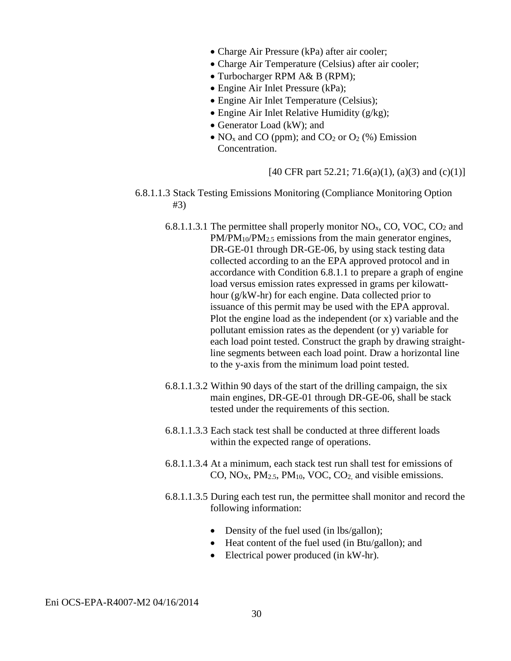- Charge Air Pressure (kPa) after air cooler;
- Charge Air Temperature (Celsius) after air cooler;
- Turbocharger RPM A& B (RPM);
- Engine Air Inlet Pressure (kPa);
- Engine Air Inlet Temperature (Celsius);
- Engine Air Inlet Relative Humidity (g/kg);
- Generator Load (kW); and
- NO<sub>x</sub> and CO (ppm); and CO<sub>2</sub> or O<sub>2</sub> (%) Emission Concentration.

[40 CFR part 52.21; 71.6(a)(1), (a)(3) and (c)(1)]

- 6.8.1.1.3 Stack Testing Emissions Monitoring (Compliance Monitoring Option #3)
	- 6.8.1.1.3.1 The permittee shall properly monitor  $NO<sub>x</sub>$ , CO, VOC, CO<sub>2</sub> and PM/PM<sub>10</sub>/PM<sub>2.5</sub> emissions from the main generator engines, DR-GE-01 through DR-GE-06, by using stack testing data collected according to an the EPA approved protocol and in accordance with Condition 6.8.1.1 to prepare a graph of engine load versus emission rates expressed in grams per kilowatthour (g/kW-hr) for each engine. Data collected prior to issuance of this permit may be used with the EPA approval. Plot the engine load as the independent (or x) variable and the pollutant emission rates as the dependent (or y) variable for each load point tested. Construct the graph by drawing straightline segments between each load point. Draw a horizontal line to the y-axis from the minimum load point tested.
	- 6.8.1.1.3.2 Within 90 days of the start of the drilling campaign, the six main engines, DR-GE-01 through DR-GE-06, shall be stack tested under the requirements of this section.
	- 6.8.1.1.3.3 Each stack test shall be conducted at three different loads within the expected range of operations.
	- 6.8.1.1.3.4 At a minimum, each stack test run shall test for emissions of CO,  $NO<sub>X</sub>$ ,  $PM<sub>2.5</sub>$ ,  $PM<sub>10</sub>$ , VOC, CO<sub>2</sub>, and visible emissions.
	- 6.8.1.1.3.5 During each test run, the permittee shall monitor and record the following information:
		- Density of the fuel used (in lbs/gallon);
		- Heat content of the fuel used (in Btu/gallon); and
		- Electrical power produced (in kW-hr).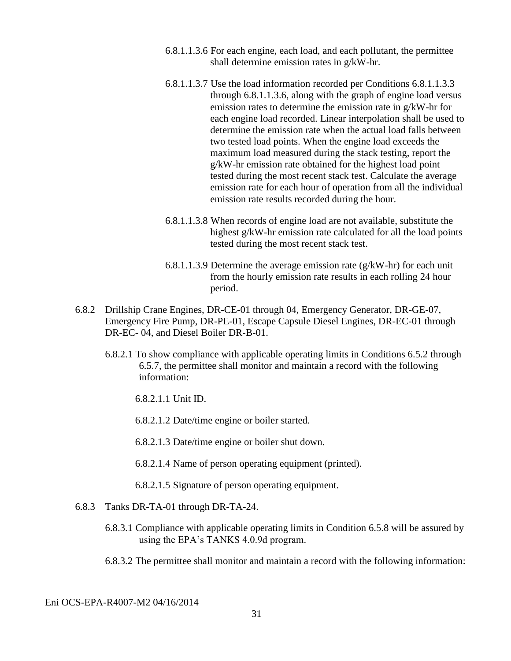- 6.8.1.1.3.6 For each engine, each load, and each pollutant, the permittee shall determine emission rates in g/kW-hr.
- 6.8.1.1.3.7 Use the load information recorded per Conditions 6.8.1.1.3.3 through 6.8.1.1.3.6, along with the graph of engine load versus emission rates to determine the emission rate in g/kW-hr for each engine load recorded. Linear interpolation shall be used to determine the emission rate when the actual load falls between two tested load points. When the engine load exceeds the maximum load measured during the stack testing, report the g/kW-hr emission rate obtained for the highest load point tested during the most recent stack test. Calculate the average emission rate for each hour of operation from all the individual emission rate results recorded during the hour.
- 6.8.1.1.3.8 When records of engine load are not available, substitute the highest g/kW-hr emission rate calculated for all the load points tested during the most recent stack test.
- 6.8.1.1.3.9 Determine the average emission rate  $(g/kW-hr)$  for each unit from the hourly emission rate results in each rolling 24 hour period.
- 6.8.2 Drillship Crane Engines, DR-CE-01 through 04, Emergency Generator, DR-GE-07, Emergency Fire Pump, DR-PE-01, Escape Capsule Diesel Engines, DR-EC-01 through DR-EC- 04, and Diesel Boiler DR-B-01.
	- 6.8.2.1 To show compliance with applicable operating limits in Conditions 6.5.2 through 6.5.7, the permittee shall monitor and maintain a record with the following information:
		- 6.8.2.1.1 Unit ID.
		- 6.8.2.1.2 Date/time engine or boiler started.
		- 6.8.2.1.3 Date/time engine or boiler shut down.
		- 6.8.2.1.4 Name of person operating equipment (printed).
		- 6.8.2.1.5 Signature of person operating equipment.
- 6.8.3 Tanks DR-TA-01 through DR-TA-24.
	- 6.8.3.1 Compliance with applicable operating limits in Condition 6.5.8 will be assured by using the EPA's TANKS 4.0.9d program.
	- 6.8.3.2 The permittee shall monitor and maintain a record with the following information: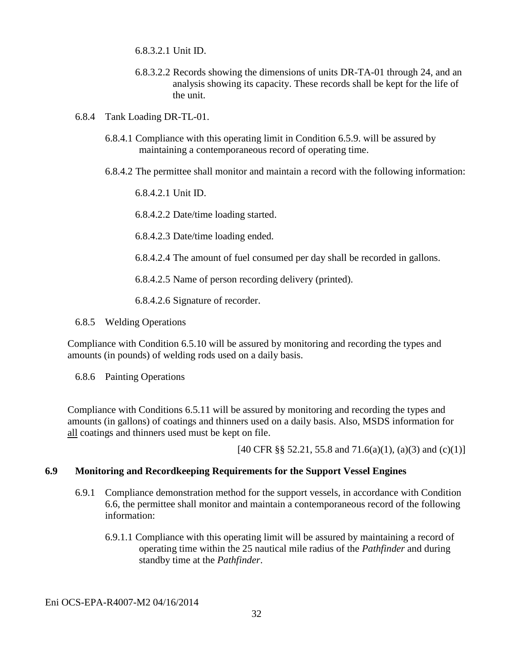6.8.3.2.1 Unit ID.

- 6.8.3.2.2 Records showing the dimensions of units DR-TA-01 through 24, and an analysis showing its capacity. These records shall be kept for the life of the unit.
- 6.8.4 Tank Loading DR-TL-01.
	- 6.8.4.1 Compliance with this operating limit in Condition 6.5.9. will be assured by maintaining a contemporaneous record of operating time.
	- 6.8.4.2 The permittee shall monitor and maintain a record with the following information:

6.8.4.2.1 Unit ID.

6.8.4.2.2 Date/time loading started.

6.8.4.2.3 Date/time loading ended.

6.8.4.2.4 The amount of fuel consumed per day shall be recorded in gallons.

6.8.4.2.5 Name of person recording delivery (printed).

6.8.4.2.6 Signature of recorder.

6.8.5 Welding Operations

Compliance with Condition 6.5.10 will be assured by monitoring and recording the types and amounts (in pounds) of welding rods used on a daily basis.

6.8.6 Painting Operations

Compliance with Conditions 6.5.11 will be assured by monitoring and recording the types and amounts (in gallons) of coatings and thinners used on a daily basis. Also, MSDS information for all coatings and thinners used must be kept on file.

[40 CFR §§ 52.21, 55.8 and 71.6(a)(1), (a)(3) and (c)(1)]

#### **6.9 Monitoring and Recordkeeping Requirements for the Support Vessel Engines**

- 6.9.1 Compliance demonstration method for the support vessels, in accordance with Condition 6.6, the permittee shall monitor and maintain a contemporaneous record of the following information:
	- 6.9.1.1 Compliance with this operating limit will be assured by maintaining a record of operating time within the 25 nautical mile radius of the *Pathfinder* and during standby time at the *Pathfinder*.